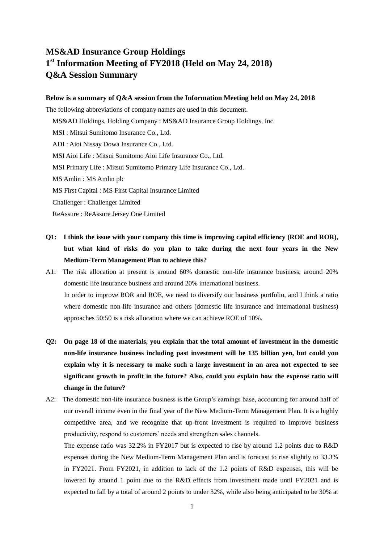# **MS&AD Insurance Group Holdings 1 st Information Meeting of FY2018 (Held on May 24, 2018) Q&A Session Summary**

#### **Below is a summary of Q&A session from the Information Meeting held on May 24, 2018**

The following abbreviations of company names are used in this document.

MS&AD Holdings, Holding Company : MS&AD Insurance Group Holdings, Inc.

MSI : Mitsui Sumitomo Insurance Co., Ltd.

ADI : Aioi Nissay Dowa Insurance Co., Ltd.

MSI Aioi Life : Mitsui Sumitomo Aioi Life Insurance Co., Ltd.

MSI Primary Life : Mitsui Sumitomo Primary Life Insurance Co., Ltd.

MS Amlin : MS Amlin plc

MS First Capital : MS First Capital Insurance Limited

Challenger : Challenger Limited

ReAssure : ReAssure Jersey One Limited

- **Q1: I think the issue with your company this time is improving capital efficiency (ROE and ROR), but what kind of risks do you plan to take during the next four years in the New Medium-Term Management Plan to achieve this?**
- A1: The risk allocation at present is around 60% domestic non-life insurance business, around 20% domestic life insurance business and around 20% international business. In order to improve ROR and ROE, we need to diversify our business portfolio, and I think a ratio where domestic non-life insurance and others (domestic life insurance and international business) approaches 50:50 is a risk allocation where we can achieve ROE of 10%.
- **Q2: On page 18 of the materials, you explain that the total amount of investment in the domestic non-life insurance business including past investment will be 135 billion yen, but could you explain why it is necessary to make such a large investment in an area not expected to see significant growth in profit in the future? Also, could you explain how the expense ratio will change in the future?**
- A2: The domestic non-life insurance business is the Group's earnings base, accounting for around half of our overall income even in the final year of the New Medium-Term Management Plan. It is a highly competitive area, and we recognize that up-front investment is required to improve business productivity, respond to customers' needs and strengthen sales channels.

The expense ratio was 32.2% in FY2017 but is expected to rise by around 1.2 points due to R&D expenses during the New Medium-Term Management Plan and is forecast to rise slightly to 33.3% in FY2021. From FY2021, in addition to lack of the 1.2 points of R&D expenses, this will be lowered by around 1 point due to the R&D effects from investment made until FY2021 and is expected to fall by a total of around 2 points to under 32%, while also being anticipated to be 30% at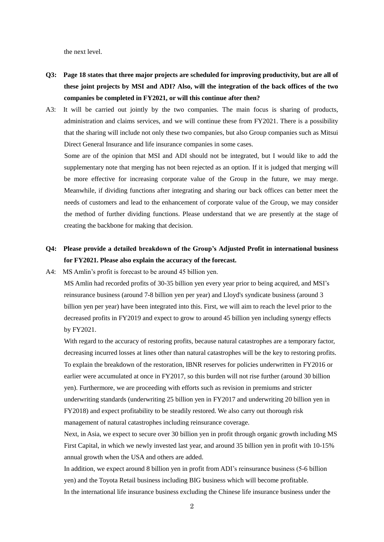the next level.

- **Q3: Page 18 states that three major projects are scheduled for improving productivity, but are all of these joint projects by MSI and ADI? Also, will the integration of the back offices of the two companies be completed in FY2021, or will this continue after then?**
- A3: It will be carried out jointly by the two companies. The main focus is sharing of products, administration and claims services, and we will continue these from FY2021. There is a possibility that the sharing will include not only these two companies, but also Group companies such as Mitsui Direct General Insurance and life insurance companies in some cases.

Some are of the opinion that MSI and ADI should not be integrated, but I would like to add the supplementary note that merging has not been rejected as an option. If it is judged that merging will be more effective for increasing corporate value of the Group in the future, we may merge. Meanwhile, if dividing functions after integrating and sharing our back offices can better meet the needs of customers and lead to the enhancement of corporate value of the Group, we may consider the method of further dividing functions. Please understand that we are presently at the stage of creating the backbone for making that decision.

### **Q4: Please provide a detailed breakdown of the Group's Adjusted Profit in international business for FY2021. Please also explain the accuracy of the forecast.**

A4: MS Amlin's profit is forecast to be around 45 billion yen.

MS Amlin had recorded profits of 30-35 billion yen every year prior to being acquired, and MSI's reinsurance business (around 7-8 billion yen per year) and Lloyd's syndicate business (around 3 billion yen per year) have been integrated into this. First, we will aim to reach the level prior to the decreased profits in FY2019 and expect to grow to around 45 billion yen including synergy effects by FY2021.

With regard to the accuracy of restoring profits, because natural catastrophes are a temporary factor, decreasing incurred losses at lines other than natural catastrophes will be the key to restoring profits. To explain the breakdown of the restoration, IBNR reserves for policies underwritten in FY2016 or earlier were accumulated at once in FY2017, so this burden will not rise further (around 30 billion yen). Furthermore, we are proceeding with efforts such as revision in premiums and stricter underwriting standards (underwriting 25 billion yen in FY2017 and underwriting 20 billion yen in FY2018) and expect profitability to be steadily restored. We also carry out thorough risk management of natural catastrophes including reinsurance coverage.

Next, in Asia, we expect to secure over 30 billion yen in profit through organic growth including MS First Capital, in which we newly invested last year, and around 35 billion yen in profit with 10-15% annual growth when the USA and others are added.

In addition, we expect around 8 billion yen in profit from ADI's reinsurance business (5-6 billion yen) and the Toyota Retail business including BIG business which will become profitable. In the international life insurance business excluding the Chinese life insurance business under the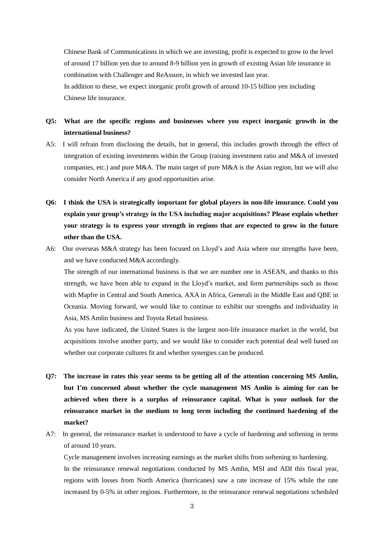Chinese Bank of Communications in which we are investing, profit is expected to grow to the level of around 17 billion yen due to around 8-9 billion yen in growth of existing Asian life insurance in combination with Challenger and ReAssure, in which we invested last year. In addition to these, we expect inorganic profit growth of around 10-15 billion yen including Chinese life insurance.

### **Q5: What are the specific regions and businesses where you expect inorganic growth in the international business?**

- A5: I will refrain from disclosing the details, but in general, this includes growth through the effect of integration of existing investments within the Group (raising investment ratio and M&A of invested companies, etc.) and pure M&A. The main target of pure M&A is the Asian region, but we will also consider North America if any good opportunities arise.
- **Q6: I think the USA is strategically important for global players in non-life insurance. Could you explain your group's strategy in the USA including major acquisitions? Please explain whether your strategy is to express your strength in regions that are expected to grow in the future other than the USA.**
- A6: Our overseas M&A strategy has been focused on Lloyd's and Asia where our strengths have been, and we have conducted M&A accordingly.

The strength of our international business is that we are number one in ASEAN, and thanks to this strength, we have been able to expand in the Lloyd's market, and form partnerships such as those with Mapfre in Central and South America, AXA in Africa, Generali in the Middle East and QBE in Oceania. Moving forward, we would like to continue to exhibit our strengths and individuality in Asia, MS Amlin business and Toyota Retail business.

As you have indicated, the United States is the largest non-life insurance market in the world, but acquisitions involve another party, and we would like to consider each potential deal well based on whether our corporate cultures fit and whether synergies can be produced.

- **Q7: The increase in rates this year seems to be getting all of the attention concerning MS Amlin, but I'm concerned about whether the cycle management MS Amlin is aiming for can be achieved when there is a surplus of reinsurance capital. What is your outlook for the reinsurance market in the medium to long term including the continued hardening of the market?**
- A7: In general, the reinsurance market is understood to have a cycle of hardening and softening in terms of around 10 years.

Cycle management involves increasing earnings as the market shifts from softening to hardening.

In the reinsurance renewal negotiations conducted by MS Amlin, MSI and ADI this fiscal year, regions with losses from North America (hurricanes) saw a rate increase of 15% while the rate increased by 0-5% in other regions. Furthermore, in the reinsurance renewal negotiations scheduled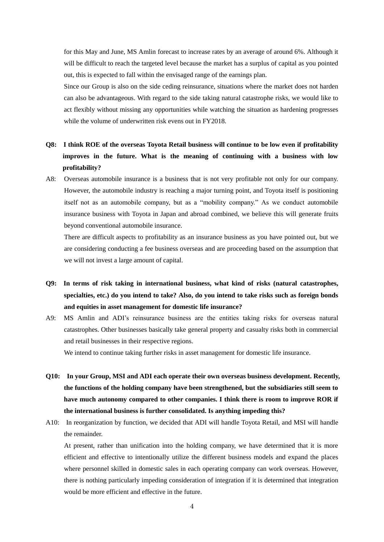for this May and June, MS Amlin forecast to increase rates by an average of around 6%. Although it will be difficult to reach the targeted level because the market has a surplus of capital as you pointed out, this is expected to fall within the envisaged range of the earnings plan.

Since our Group is also on the side ceding reinsurance, situations where the market does not harden can also be advantageous. With regard to the side taking natural catastrophe risks, we would like to act flexibly without missing any opportunities while watching the situation as hardening progresses while the volume of underwritten risk evens out in FY2018.

## **Q8: I think ROE of the overseas Toyota Retail business will continue to be low even if profitability improves in the future. What is the meaning of continuing with a business with low profitability?**

A8: Overseas automobile insurance is a business that is not very profitable not only for our company. However, the automobile industry is reaching a major turning point, and Toyota itself is positioning itself not as an automobile company, but as a "mobility company." As we conduct automobile insurance business with Toyota in Japan and abroad combined, we believe this will generate fruits beyond conventional automobile insurance.

There are difficult aspects to profitability as an insurance business as you have pointed out, but we are considering conducting a fee business overseas and are proceeding based on the assumption that we will not invest a large amount of capital.

- **Q9: In terms of risk taking in international business, what kind of risks (natural catastrophes, specialties, etc.) do you intend to take? Also, do you intend to take risks such as foreign bonds and equities in asset management for domestic life insurance?**
- A9: MS Amlin and ADI's reinsurance business are the entities taking risks for overseas natural catastrophes. Other businesses basically take general property and casualty risks both in commercial and retail businesses in their respective regions.

We intend to continue taking further risks in asset management for domestic life insurance.

- **Q10: In your Group, MSI and ADI each operate their own overseas business development. Recently, the functions of the holding company have been strengthened, but the subsidiaries still seem to have much autonomy compared to other companies. I think there is room to improve ROR if the international business is further consolidated. Is anything impeding this?**
- A10: In reorganization by function, we decided that ADI will handle Toyota Retail, and MSI will handle the remainder.

At present, rather than unification into the holding company, we have determined that it is more efficient and effective to intentionally utilize the different business models and expand the places where personnel skilled in domestic sales in each operating company can work overseas. However, there is nothing particularly impeding consideration of integration if it is determined that integration would be more efficient and effective in the future.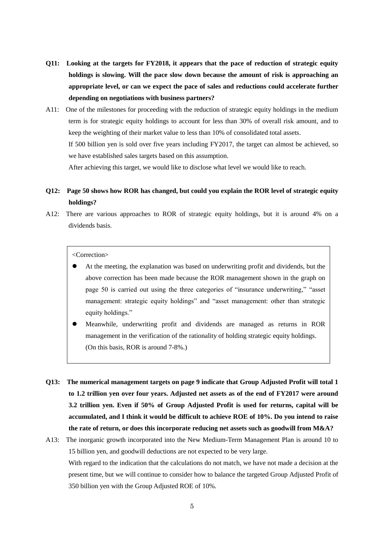- **Q11: Looking at the targets for FY2018, it appears that the pace of reduction of strategic equity holdings is slowing. Will the pace slow down because the amount of risk is approaching an appropriate level, or can we expect the pace of sales and reductions could accelerate further depending on negotiations with business partners?**
- A11: One of the milestones for proceeding with the reduction of strategic equity holdings in the medium term is for strategic equity holdings to account for less than 30% of overall risk amount, and to keep the weighting of their market value to less than 10% of consolidated total assets. If 500 billion yen is sold over five years including FY2017, the target can almost be achieved, so we have established sales targets based on this assumption.

After achieving this target, we would like to disclose what level we would like to reach.

- **Q12: Page 50 shows how ROR has changed, but could you explain the ROR level of strategic equity holdings?**
- A12: There are various approaches to ROR of strategic equity holdings, but it is around 4% on a dividends basis.

<Correction>

- At the meeting, the explanation was based on underwriting profit and dividends, but the above correction has been made because the ROR management shown in the graph on page 50 is carried out using the three categories of "insurance underwriting," "asset management: strategic equity holdings" and "asset management: other than strategic equity holdings."
- Meanwhile, underwriting profit and dividends are managed as returns in ROR management in the verification of the rationality of holding strategic equity holdings. (On this basis, ROR is around 7-8%.)
- **Q13: The numerical management targets on page 9 indicate that Group Adjusted Profit will total 1 to 1.2 trillion yen over four years. Adjusted net assets as of the end of FY2017 were around 3.2 trillion yen. Even if 50% of Group Adjusted Profit is used for returns, capital will be accumulated, and I think it would be difficult to achieve ROE of 10%. Do you intend to raise the rate of return, or does this incorporate reducing net assets such as goodwill from M&A?**
- A13: The inorganic growth incorporated into the New Medium-Term Management Plan is around 10 to 15 billion yen, and goodwill deductions are not expected to be very large. With regard to the indication that the calculations do not match, we have not made a decision at the present time, but we will continue to consider how to balance the targeted Group Adjusted Profit of 350 billion yen with the Group Adjusted ROE of 10%.